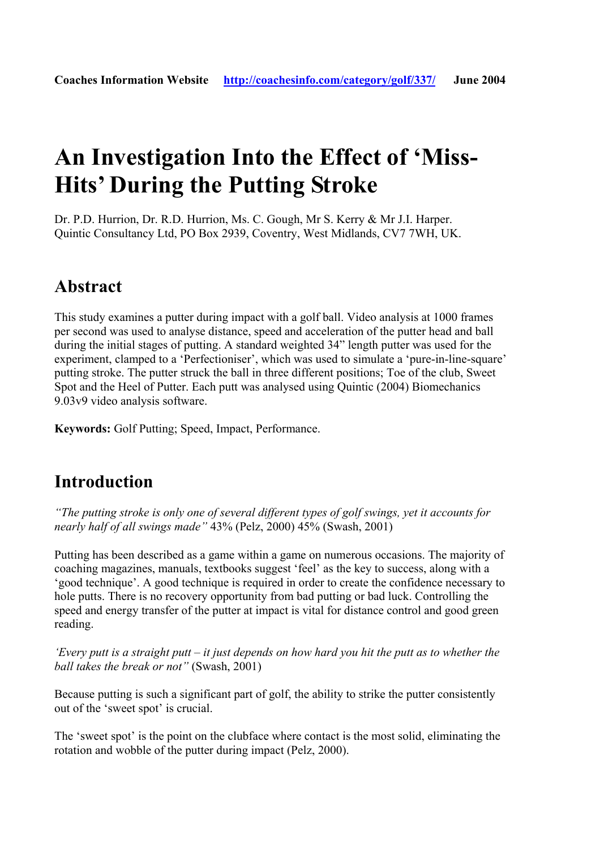# **An Investigation Into the Effect of 'Miss-Hits' During the Putting Stroke**

Dr. P.D. Hurrion, Dr. R.D. Hurrion, Ms. C. Gough, Mr S. Kerry & Mr J.I. Harper. Quintic Consultancy Ltd, PO Box 2939, Coventry, West Midlands, CV7 7WH, UK.

### **Abstract**

This study examines a putter during impact with a golf ball. Video analysis at 1000 frames per second was used to analyse distance, speed and acceleration of the putter head and ball during the initial stages of putting. A standard weighted 34" length putter was used for the experiment, clamped to a 'Perfectioniser', which was used to simulate a 'pure-in-line-square' putting stroke. The putter struck the ball in three different positions; Toe of the club, Sweet Spot and the Heel of Putter. Each putt was analysed using Quintic (2004) Biomechanics 9.03v9 video analysis software.

**Keywords:** Golf Putting; Speed, Impact, Performance.

### **Introduction**

*"The putting stroke is only one of several different types of golf swings, yet it accounts for nearly half of all swings made"* 43% (Pelz, 2000) 45% (Swash, 2001)

Putting has been described as a game within a game on numerous occasions. The majority of coaching magazines, manuals, textbooks suggest 'feel' as the key to success, along with a 'good technique'. A good technique is required in order to create the confidence necessary to hole putts. There is no recovery opportunity from bad putting or bad luck. Controlling the speed and energy transfer of the putter at impact is vital for distance control and good green reading.

*'Every putt is a straight putt – it just depends on how hard you hit the putt as to whether the ball takes the break or not"* (Swash, 2001)

Because putting is such a significant part of golf, the ability to strike the putter consistently out of the 'sweet spot' is crucial.

The 'sweet spot' is the point on the clubface where contact is the most solid, eliminating the rotation and wobble of the putter during impact (Pelz, 2000).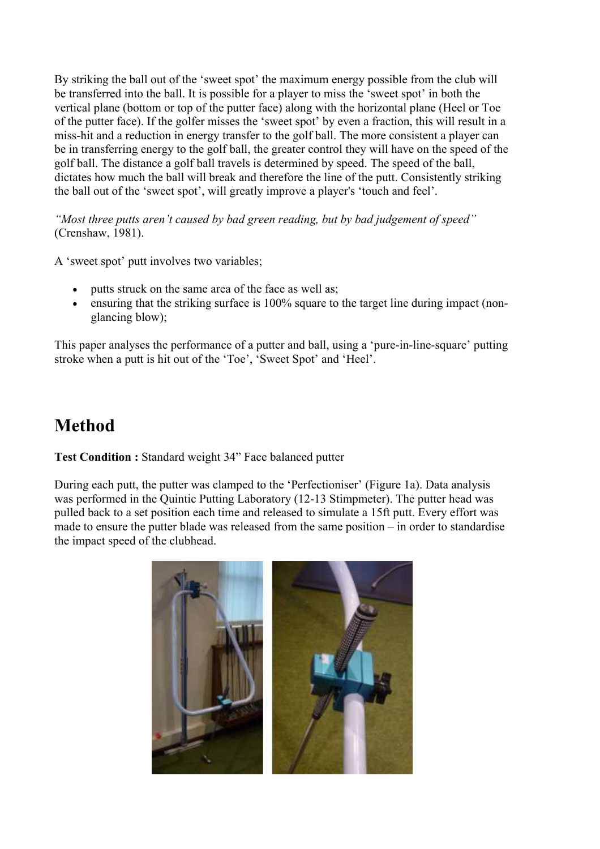By striking the ball out of the 'sweet spot' the maximum energy possible from the club will be transferred into the ball. It is possible for a player to miss the 'sweet spot' in both the vertical plane (bottom or top of the putter face) along with the horizontal plane (Heel or Toe of the putter face). If the golfer misses the 'sweet spot' by even a fraction, this will result in a miss-hit and a reduction in energy transfer to the golf ball. The more consistent a player can be in transferring energy to the golf ball, the greater control they will have on the speed of the golf ball. The distance a golf ball travels is determined by speed. The speed of the ball, dictates how much the ball will break and therefore the line of the putt. Consistently striking the ball out of the 'sweet spot', will greatly improve a player's 'touch and feel'.

*"Most three putts aren't caused by bad green reading, but by bad judgement of speed"* (Crenshaw, 1981).

A 'sweet spot' putt involves two variables;

- putts struck on the same area of the face as well as;
- ensuring that the striking surface is 100% square to the target line during impact (nonglancing blow);

This paper analyses the performance of a putter and ball, using a 'pure-in-line-square' putting stroke when a putt is hit out of the 'Toe', 'Sweet Spot' and 'Heel'.

# **Method**

**Test Condition :** Standard weight 34" Face balanced putter

During each putt, the putter was clamped to the 'Perfectioniser' (Figure 1a). Data analysis was performed in the Quintic Putting Laboratory (12-13 Stimpmeter). The putter head was pulled back to a set position each time and released to simulate a 15ft putt. Every effort was made to ensure the putter blade was released from the same position – in order to standardise the impact speed of the clubhead.

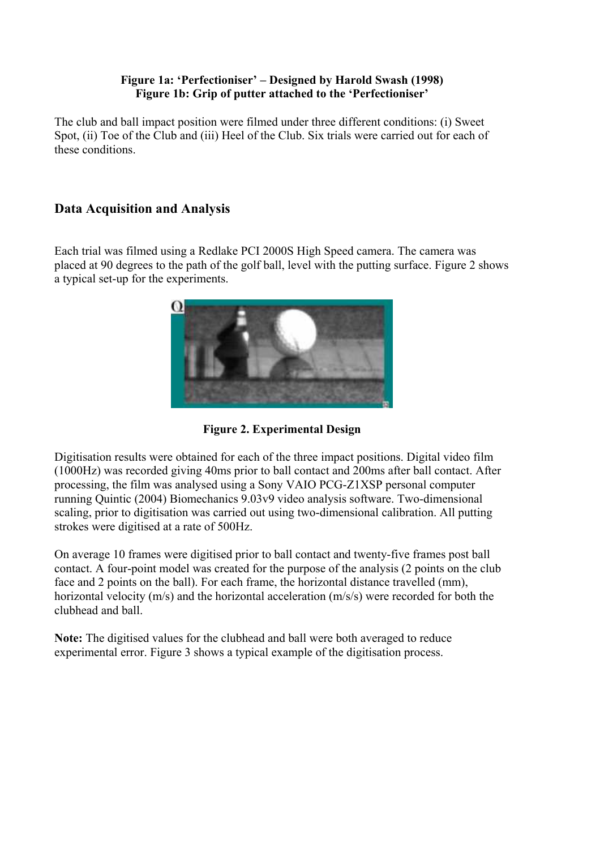#### **Figure 1a: 'Perfectioniser' – Designed by Harold Swash (1998) Figure 1b: Grip of putter attached to the 'Perfectioniser'**

The club and ball impact position were filmed under three different conditions: (i) Sweet Spot, (ii) Toe of the Club and (iii) Heel of the Club. Six trials were carried out for each of these conditions.

#### **Data Acquisition and Analysis**

Each trial was filmed using a Redlake PCI 2000S High Speed camera. The camera was placed at 90 degrees to the path of the golf ball, level with the putting surface. Figure 2 shows a typical set-up for the experiments.



**Figure 2. Experimental Design**

Digitisation results were obtained for each of the three impact positions. Digital video film (1000Hz) was recorded giving 40ms prior to ball contact and 200ms after ball contact. After processing, the film was analysed using a Sony VAIO PCG-Z1XSP personal computer running Quintic (2004) Biomechanics 9.03v9 video analysis software. Two-dimensional scaling, prior to digitisation was carried out using two-dimensional calibration. All putting strokes were digitised at a rate of 500Hz.

On average 10 frames were digitised prior to ball contact and twenty-five frames post ball contact. A four-point model was created for the purpose of the analysis (2 points on the club face and 2 points on the ball). For each frame, the horizontal distance travelled (mm), horizontal velocity (m/s) and the horizontal acceleration (m/s/s) were recorded for both the clubhead and ball.

**Note:** The digitised values for the clubhead and ball were both averaged to reduce experimental error. Figure 3 shows a typical example of the digitisation process.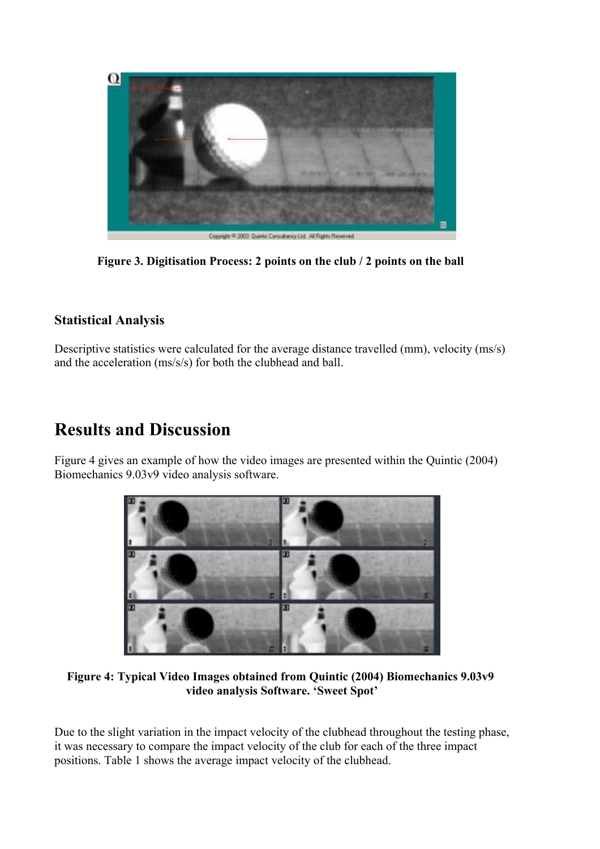

**Figure 3. Digitisation Process: 2 points on the club / 2 points on the ball** 

#### **Statistical Analysis**

Descriptive statistics were calculated for the average distance travelled (mm), velocity (ms/s) and the acceleration (ms/s/s) for both the clubhead and ball.

## **Results and Discussion**

Figure 4 gives an example of how the video images are presented within the Quintic (2004) Biomechanics 9.03v9 video analysis software.



**Figure 4: Typical Video Images obtained from Quintic (2004) Biomechanics 9.03v9 video analysis Software. 'Sweet Spot'**

Due to the slight variation in the impact velocity of the clubhead throughout the testing phase, it was necessary to compare the impact velocity of the club for each of the three impact positions. Table 1 shows the average impact velocity of the clubhead.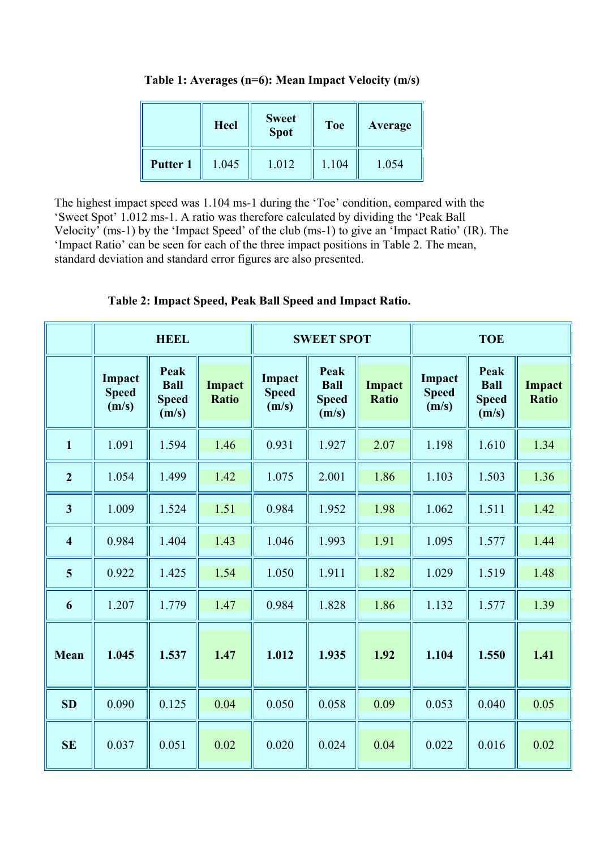**Table 1: Averages (n=6): Mean Impact Velocity (m/s)**

|                 | <b>Heel</b> | <b>Sweet</b><br><b>Spot</b> | <b>Toe</b> | Average |  |
|-----------------|-------------|-----------------------------|------------|---------|--|
| <b>Putter 1</b> | 1.045       | 1.012                       | 1.104      | 1.054   |  |

The highest impact speed was 1.104 ms-1 during the 'Toe' condition, compared with the 'Sweet Spot' 1.012 ms-1. A ratio was therefore calculated by dividing the 'Peak Ball Velocity' (ms-1) by the 'Impact Speed' of the club (ms-1) to give an 'Impact Ratio' (IR). The 'Impact Ratio' can be seen for each of the three impact positions in Table 2. The mean, standard deviation and standard error figures are also presented.

|                         | <b>HEEL</b>                     |                                              | <b>SWEET SPOT</b>      |                                 |                                              | <b>TOE</b>             |                                 |                                              |                        |
|-------------------------|---------------------------------|----------------------------------------------|------------------------|---------------------------------|----------------------------------------------|------------------------|---------------------------------|----------------------------------------------|------------------------|
|                         | Impact<br><b>Speed</b><br>(m/s) | Peak<br><b>Ball</b><br><b>Speed</b><br>(m/s) | Impact<br><b>Ratio</b> | Impact<br><b>Speed</b><br>(m/s) | Peak<br><b>Ball</b><br><b>Speed</b><br>(m/s) | Impact<br><b>Ratio</b> | Impact<br><b>Speed</b><br>(m/s) | Peak<br><b>Ball</b><br><b>Speed</b><br>(m/s) | Impact<br><b>Ratio</b> |
| $\mathbf{1}$            | 1.091                           | 1.594                                        | 1.46                   | 0.931                           | 1.927                                        | 2.07                   | 1.198                           | 1.610                                        | 1.34                   |
| $\overline{2}$          | 1.054                           | 1.499                                        | 1.42                   | 1.075                           | 2.001                                        | 1.86                   | 1.103                           | 1.503                                        | 1.36                   |
| $\overline{\mathbf{3}}$ | 1.009                           | 1.524                                        | 1.51                   | 0.984                           | 1.952                                        | 1.98                   | 1.062                           | 1.511                                        | 1.42                   |
| $\overline{\mathbf{4}}$ | 0.984                           | 1.404                                        | 1.43                   | 1.046                           | 1.993                                        | 1.91                   | 1.095                           | 1.577                                        | 1.44                   |
| 5                       | 0.922                           | 1.425                                        | 1.54                   | 1.050                           | 1.911                                        | 1.82                   | 1.029                           | 1.519                                        | 1.48                   |
| 6                       | 1.207                           | 1.779                                        | 1.47                   | 0.984                           | 1.828                                        | 1.86                   | 1.132                           | 1.577                                        | 1.39                   |
| Mean                    | 1.045                           | 1.537                                        | 1.47                   | 1.012                           | 1.935                                        | 1.92                   | 1.104                           | 1.550                                        | 1.41                   |
| SD                      | 0.090                           | 0.125                                        | 0.04                   | 0.050                           | 0.058                                        | 0.09                   | 0.053                           | 0.040                                        | 0.05                   |
| <b>SE</b>               | 0.037                           | 0.051                                        | 0.02                   | 0.020                           | 0.024                                        | 0.04                   | 0.022                           | 0.016                                        | 0.02                   |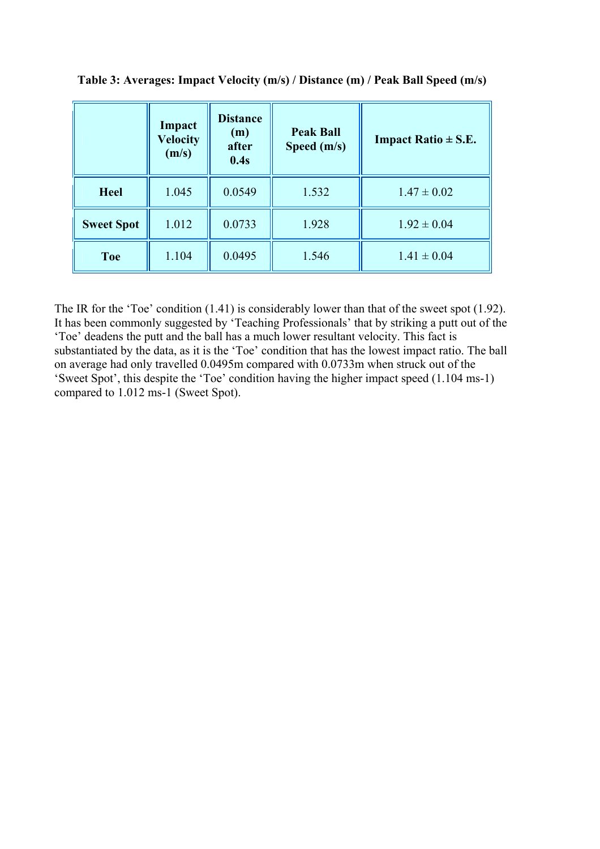|                   | Impact<br><b>Velocity</b><br>(m/s) | <b>Distance</b><br>(m)<br>after<br>0.4s | <b>Peak Ball</b><br>Speed (m/s) | <b>Impact Ratio <math>\pm</math> S.E.</b> |
|-------------------|------------------------------------|-----------------------------------------|---------------------------------|-------------------------------------------|
| <b>Heel</b>       | 1.045                              | 0.0549                                  | 1.532                           | $1.47 \pm 0.02$                           |
| <b>Sweet Spot</b> | 1.012                              | 0.0733                                  | 1.928                           | $1.92 \pm 0.04$                           |
| <b>Toe</b>        | 1.104                              | 0.0495                                  | 1.546                           | $1.41 \pm 0.04$                           |

**Table 3: Averages: Impact Velocity (m/s) / Distance (m) / Peak Ball Speed (m/s)**

The IR for the 'Toe' condition (1.41) is considerably lower than that of the sweet spot (1.92). It has been commonly suggested by 'Teaching Professionals' that by striking a putt out of the 'Toe' deadens the putt and the ball has a much lower resultant velocity. This fact is substantiated by the data, as it is the 'Toe' condition that has the lowest impact ratio. The ball on average had only travelled 0.0495m compared with 0.0733m when struck out of the 'Sweet Spot', this despite the 'Toe' condition having the higher impact speed (1.104 ms-1) compared to 1.012 ms-1 (Sweet Spot).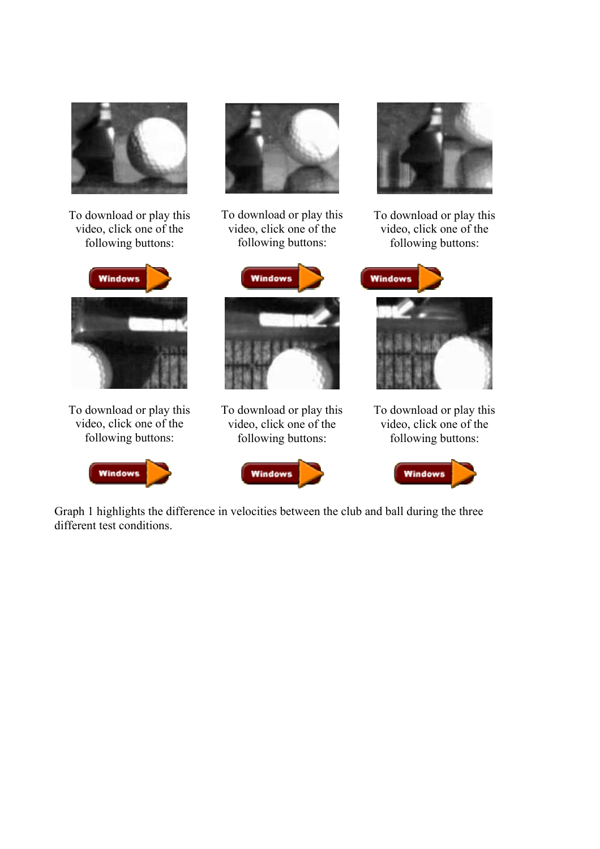

To download or play this video, click one of the following buttons:



To download or play this video, click one of the following buttons:





To download or play this video, click one of the following buttons:



To download or play this video, click one of the following buttons:



To download or play this video, click one of the following buttons:





To download or play this video, click one of the following buttons:



Graph 1 highlights the difference in velocities between the club and ball during the three different test conditions.

**Windows**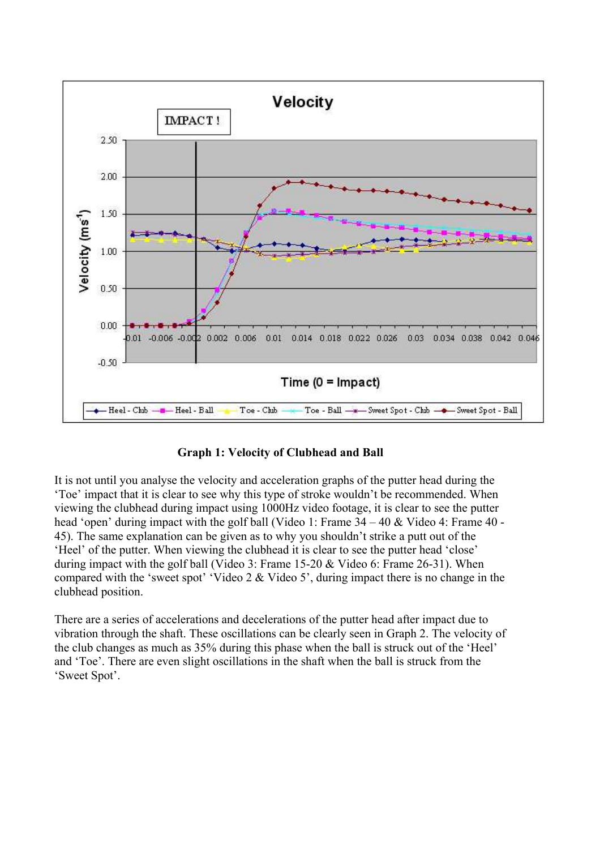

**Graph 1: Velocity of Clubhead and Ball** 

It is not until you analyse the velocity and acceleration graphs of the putter head during the 'Toe' impact that it is clear to see why this type of stroke wouldn't be recommended. When viewing the clubhead during impact using 1000Hz video footage, it is clear to see the putter head 'open' during impact with the golf ball (Video 1: Frame 34 – 40 & Video 4: Frame 40 - 45). The same explanation can be given as to why you shouldn't strike a putt out of the 'Heel' of the putter. When viewing the clubhead it is clear to see the putter head 'close' during impact with the golf ball (Video 3: Frame 15-20 & Video 6: Frame 26-31). When compared with the 'sweet spot' 'Video 2 & Video 5', during impact there is no change in the clubhead position.

There are a series of accelerations and decelerations of the putter head after impact due to vibration through the shaft. These oscillations can be clearly seen in Graph 2. The velocity of the club changes as much as 35% during this phase when the ball is struck out of the 'Heel' and 'Toe'. There are even slight oscillations in the shaft when the ball is struck from the 'Sweet Spot'.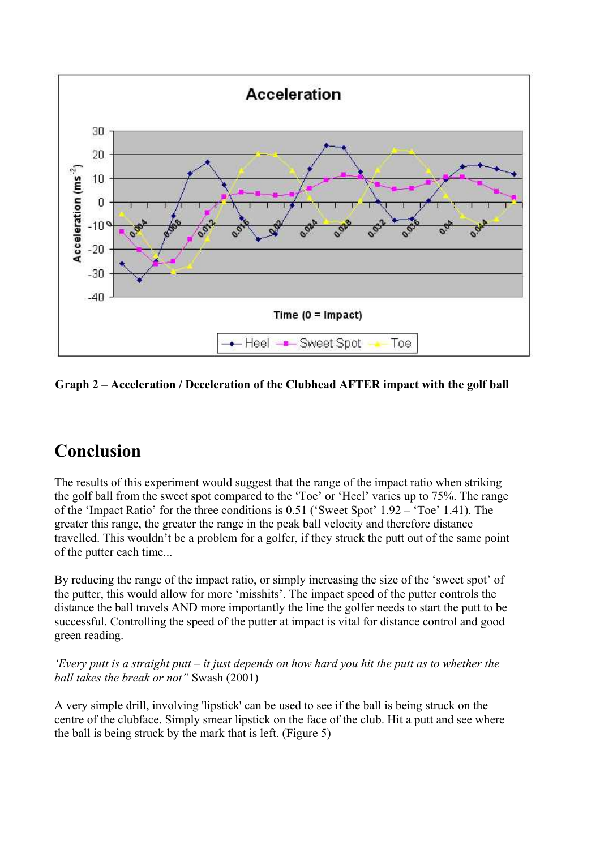

#### **Graph 2 – Acceleration / Deceleration of the Clubhead AFTER impact with the golf ball**

# **Conclusion**

The results of this experiment would suggest that the range of the impact ratio when striking the golf ball from the sweet spot compared to the 'Toe' or 'Heel' varies up to 75%. The range of the 'Impact Ratio' for the three conditions is 0.51 ('Sweet Spot' 1.92 – 'Toe' 1.41). The greater this range, the greater the range in the peak ball velocity and therefore distance travelled. This wouldn't be a problem for a golfer, if they struck the putt out of the same point of the putter each time...

By reducing the range of the impact ratio, or simply increasing the size of the 'sweet spot' of the putter, this would allow for more 'misshits'. The impact speed of the putter controls the distance the ball travels AND more importantly the line the golfer needs to start the putt to be successful. Controlling the speed of the putter at impact is vital for distance control and good green reading.

*'Every putt is a straight putt – it just depends on how hard you hit the putt as to whether the ball takes the break or not"* Swash (2001)

A very simple drill, involving 'lipstick' can be used to see if the ball is being struck on the centre of the clubface. Simply smear lipstick on the face of the club. Hit a putt and see where the ball is being struck by the mark that is left. (Figure 5)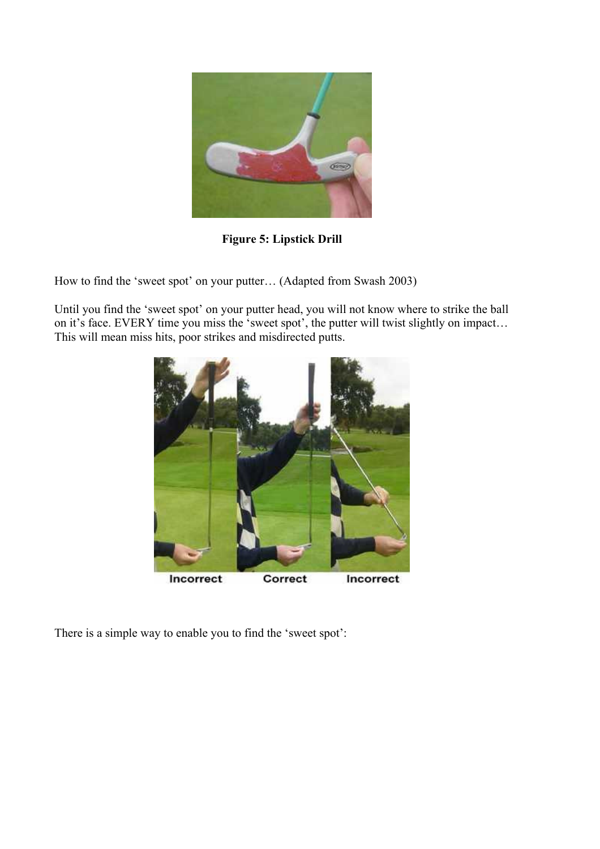

**Figure 5: Lipstick Drill**

How to find the 'sweet spot' on your putter… (Adapted from Swash 2003)

Until you find the 'sweet spot' on your putter head, you will not know where to strike the ball on it's face. EVERY time you miss the 'sweet spot', the putter will twist slightly on impact... This will mean miss hits, poor strikes and misdirected putts.



There is a simple way to enable you to find the 'sweet spot':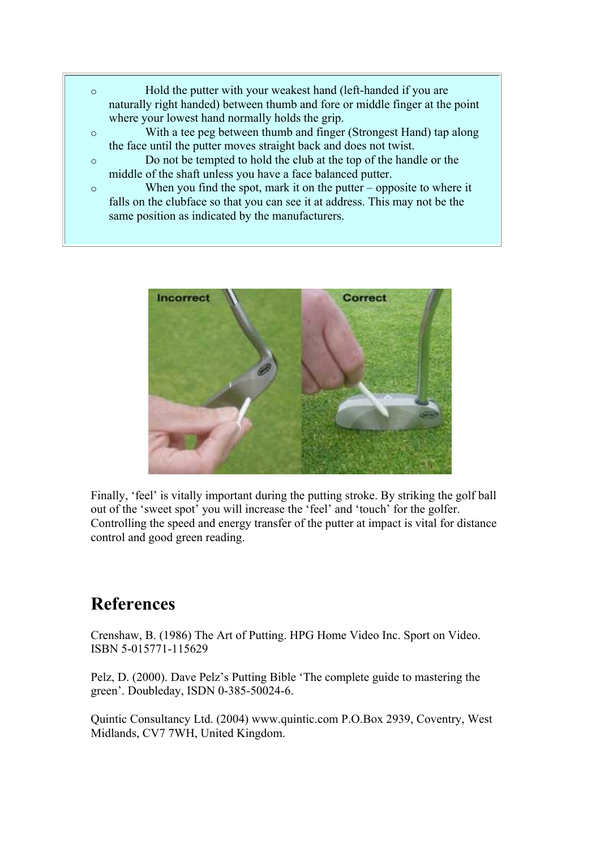- o Hold the putter with your weakest hand (left-handed if you are naturally right handed) between thumb and fore or middle finger at the point where your lowest hand normally holds the grip.
- o With a tee peg between thumb and finger (Strongest Hand) tap along the face until the putter moves straight back and does not twist.
- o Do not be tempted to hold the club at the top of the handle or the middle of the shaft unless you have a face balanced putter.
- o When you find the spot, mark it on the putter opposite to where it falls on the clubface so that you can see it at address. This may not be the same position as indicated by the manufacturers.



Finally, 'feel' is vitally important during the putting stroke. By striking the golf ball out of the 'sweet spot' you will increase the 'feel' and 'touch' for the golfer. Controlling the speed and energy transfer of the putter at impact is vital for distance control and good green reading.

### **References**

Crenshaw, B. (1986) The Art of Putting. HPG Home Video Inc. Sport on Video. ISBN 5-015771-115629

Pelz, D. (2000). Dave Pelz's Putting Bible 'The complete guide to mastering the green'. Doubleday, ISDN 0-385-50024-6.

Quintic Consultancy Ltd. (2004) www.quintic.com P.O.Box 2939, Coventry, West Midlands, CV7 7WH, United Kingdom.